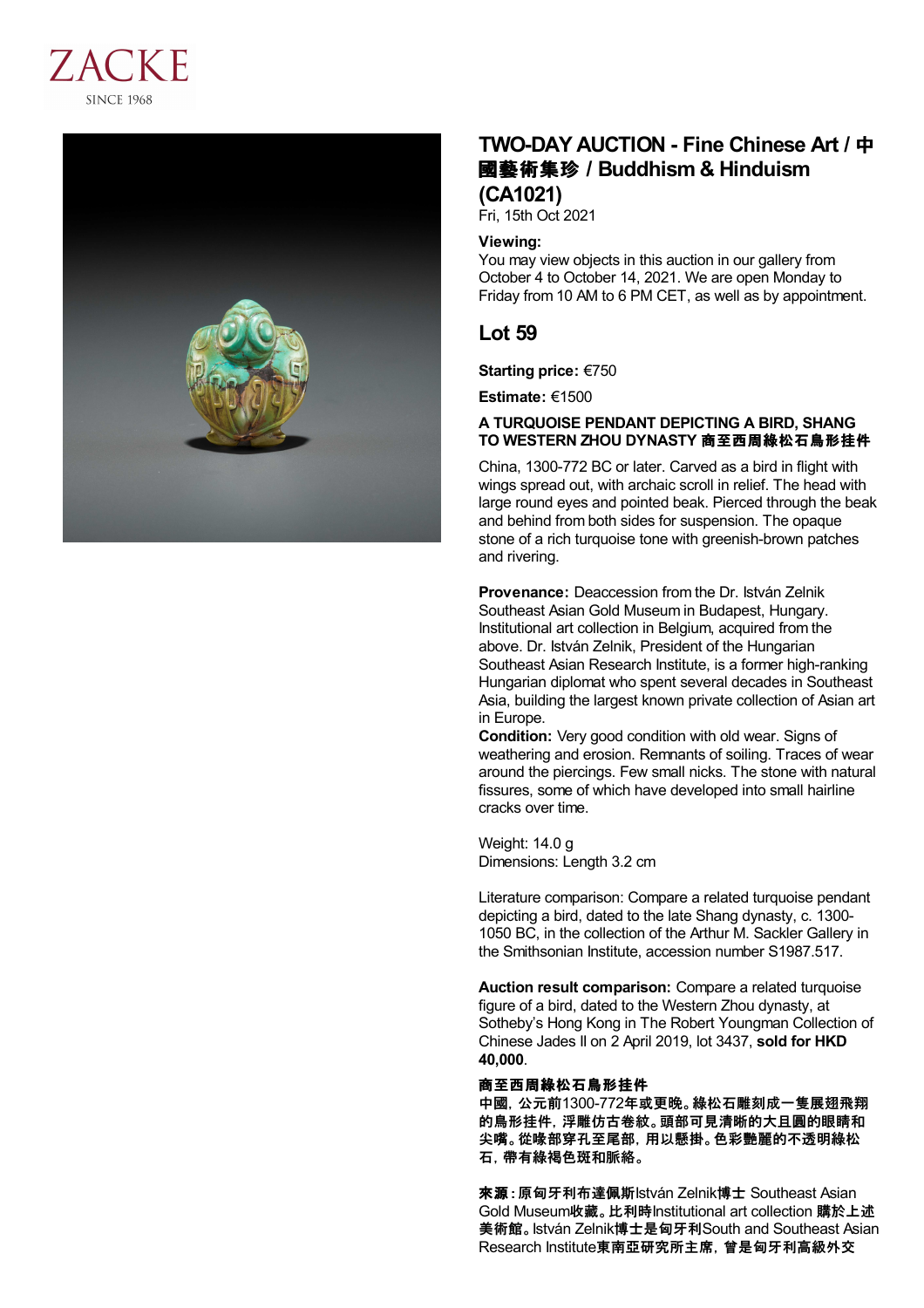



# **TWO-DAY AUCTION - Fine Chinese Art /** 中 國藝術集珍 **/Buddhism & Hinduism (CA1021)**

Fri, 15th Oct 2021

### **Viewing:**

You may view objects in this auction in our gallery from October 4 to October 14, 2021. We are open Monday to Friday from 10 AM to 6 PM CET, as well as by appointment.

# **Lot 59**

**Starting price:** €750

**Estimate:** €1500

### **A TURQUOISE PENDANT DEPICTING A BIRD, SHANG TO WESTERN ZHOU DYNASTY** 商至西周綠松石鳥形挂件

China, 1300-772 BC or later. Carved as a bird in flight with wings spread out, with archaic scroll in relief. The head with large round eyes and pointed beak. Pierced through the beak and behind from both sides for suspension. The opaque stone of a rich turquoise tone with greenish-brown patches and rivering.

**Provenance:** Deaccession from the Dr. István Zelnik Southeast Asian Gold Museum in Budapest, Hungary. Institutional art collection in Belgium, acquired from the above. Dr. István Zelnik, President of the Hungarian Southeast Asian Research Institute, is a former high-ranking Hungarian diplomat who spent several decades in Southeast Asia, building the largest known private collection of Asian art in Europe.

**Condition:** Very good condition with old wear. Signs of weathering and erosion. Remnants of soiling. Traces of wear around the piercings. Few small nicks. The stone with natural fissures, some of which have developed into small hairline cracks over time.

Weight: 14.0 g Dimensions: Length 3.2 cm

Literature comparison: Compare a related turquoise pendant depicting a bird, dated to the late Shang dynasty, c. 1300- 1050 BC, in the collection of the Arthur M. Sackler Gallery in the Smithsonian Institute, accession number S1987.517.

**Auction result comparison:** Compare a related turquoise figure of a bird, dated to the Western Zhou dynasty, at Sotheby's Hong Kong in The Robert Youngman Collection of Chinese Jades II on 2 April 2019, lot 3437, **sold for HKD 40,000**.

#### 商至西周綠松石鳥形挂件

中國,公元前1300-772年或更晚。綠松石雕刻成一隻展翅飛翔 的鳥形挂件,浮雕仿古卷紋。頭部可見清晰的大且圓的眼睛和 尖嘴。從喙部穿孔至尾部,用以懸掛。色彩艷麗的不透明綠松 石,帶有綠褐色斑和脈絡。

來源:原匈牙利布達佩斯István Zelnik博士 Southeast Asian Gold Museum收藏。比利時Institutional art collection 購於上述 美術館。István Zelnik博士是匈牙利South and Southeast Asian Research Institute東南亞研究所主席,曾是匈牙利高級外交